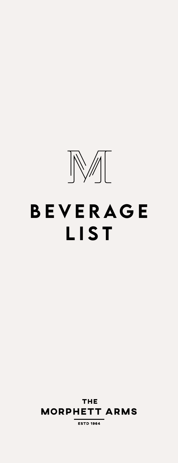

# BEVERAGE LIST

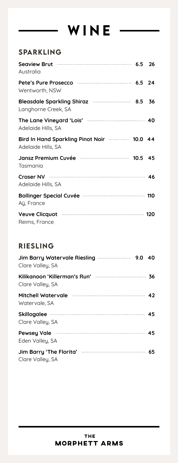### SPARKLING

| Australia                                                                         |  |
|-----------------------------------------------------------------------------------|--|
| Wentworth, NSW                                                                    |  |
| Bleasdale Sparkling Shiraz manufacture 8.5 36<br>Langhorne Creek, SA              |  |
| The Lane Vineyard 'Lois' manufactured and 40<br>Adelaide Hills, SA                |  |
| Bird In Hand Sparkling Pinot Noir <b>manufature 10.0</b> 44<br>Adelaide Hills, SA |  |
| Jansz Premium Cuvée <b>Manual Augustic Lines</b> 10.5 45<br>Tasmania              |  |
| Adelaide Hills, SA                                                                |  |
| Bollinger Special Cuvée <b>manual contracts</b> 110<br>Aÿ, France                 |  |
| Veuve Clicquot <b>Martin Automaker 120</b><br>Reims, France                       |  |

#### RIESLING

| Jim Barry Watervale Riesling <b>William Strategier 10 August</b> 20 40<br>Clare Valley, SA |  |
|--------------------------------------------------------------------------------------------|--|
| Clare Valley, SA                                                                           |  |
| Mitchell Watervale <b>Mitchell</b> 42<br>Watervale, SA                                     |  |
| Clare Valley, SA                                                                           |  |
| Pewsey Vale <b>Martin Martin Martin Advisor 45</b><br>Eden Valley, SA                      |  |
| Clare Valley, SA                                                                           |  |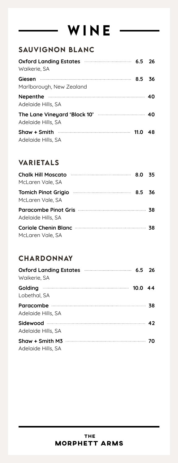### SAUVIGNON BLANC

| Oxford Landing Estates <b>Manual Landing Estates Manual Landing Estates</b><br>Waikerie, SA |    |
|---------------------------------------------------------------------------------------------|----|
| Marlborough, New Zealand                                                                    | 36 |
| Adelaide Hills, SA                                                                          |    |
| Adelaide Hills, SA                                                                          |    |
| Adelaide Hills, SA                                                                          | 48 |

### VARIETALS

| Chalk Hill Moscato <b>Manual According to the State of State 35</b><br>McLaren Vale, SA |  |
|-----------------------------------------------------------------------------------------|--|
| McLaren Vale, SA                                                                        |  |
| Paracombe Pinot Gris manufactured and 38<br>Adelaide Hills, SA                          |  |
| McLaren Vale, SA                                                                        |  |

### **CHARDONNAY**

| Oxford Landing Estates <b>manufacturers</b> 6.5 26<br>Waikerie, SA |  |
|--------------------------------------------------------------------|--|
| Golding 2000 10.0 44<br>Lobethal, SA                               |  |
| Adelaide Hills, SA                                                 |  |
| Adelaide Hills, SA                                                 |  |
| Adelaide Hills, SA                                                 |  |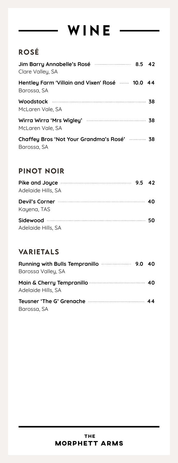### ROSé

| Jim Barry Annabelle's Rosé manuation au 8.5 42<br>Clare Valley, SA       |  |
|--------------------------------------------------------------------------|--|
| Hentley Farm 'Villain and Vixen' Rosé <b>mine 10.0</b> 44<br>Barossa, SA |  |
| Woodstock 38<br>McLaren Vale, SA                                         |  |
| Wirra Wirra 'Mrs Wigley' manufacture with 38<br>McLaren Vale, SA         |  |
| Chaffey Bros 'Not Your Grandma's Rosé'  38<br>Barossa, SA                |  |

### PINOT NOIR

| Pike and Joyce <b>Manual Accord 2019</b> 9.5 42<br>Adelaide Hills, SA |  |
|-----------------------------------------------------------------------|--|
| Kayena, TAS                                                           |  |
| Adelaide Hills, SA                                                    |  |

### VARIETALS

| Barossa Valley, SA |  |
|--------------------|--|
| Adelaide Hills, SA |  |
| Barossa, SA        |  |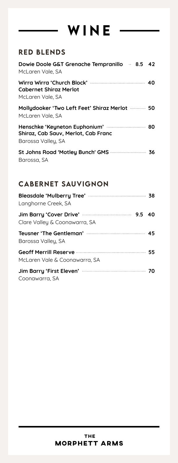### RED BLENDS

| Dowie Doole G&T Grenache Tempranillo  8.5 42<br>McLaren Vale, SA                               |  |
|------------------------------------------------------------------------------------------------|--|
| <b>Cabernet Shiraz Merlot</b><br>McLaren Vale, SA                                              |  |
| Mollydooker 'Two Left Feet' Shiraz Merlot  50<br>McLaren Vale, SA                              |  |
| Henschke 'Keyneton Euphonium'  80<br>Shiraz, Cab Sauv, Merlot, Cab Franc<br>Barossa Valley, SA |  |
| Barossa, SA                                                                                    |  |

### CABERNET SAUVIGNON

| Langhorne Creek, SA                                                       |  |
|---------------------------------------------------------------------------|--|
| Clare Valley & Coonawarra, SA                                             |  |
| Barossa Valley, SA                                                        |  |
| Geoff Merrill Reserve manufactured by 55<br>McLaren Vale & Coonawarra, SA |  |
| Jim Barry 'First Eleven' <b>Manual</b> Tomain 70<br>Coonawarra, SA        |  |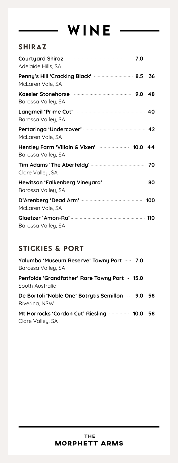### SHIRAZ

| Courtyard Shiraz manufactured 7.0<br>Adelaide Hills, SA                                                |  |
|--------------------------------------------------------------------------------------------------------|--|
| Penny's Hill 'Cracking Black'  8.5 36<br>McLaren Vale, SA                                              |  |
| Kaesler Stonehorse <b>Manual Strutter Stonehorse</b> Manual Manual Manual 9.0 48<br>Barossa Valley, SA |  |
| Barossa Valley, SA                                                                                     |  |
| McLaren Vale, SA                                                                                       |  |
| Hentley Farm 'Villain & Vixen'  10.0 44<br>Barossa Valley, SA                                          |  |
| Clare Valley, SA                                                                                       |  |
| Hewitson 'Falkenberg Vineyard'  80<br>Barossa Valley, SA                                               |  |
| McLaren Vale, SA                                                                                       |  |
| Barossa Valley, SA                                                                                     |  |

### STICKIES & PORT

| Yalumba 'Museum Reserve' Tawny Port  7.0<br>Barossa Valley, SA     |  |
|--------------------------------------------------------------------|--|
| Penfolds 'Grandfather' Rare Tawny Port · 15.0<br>South Australia   |  |
| De Bortoli 'Noble One' Botrytis Semillon · 9.0 58<br>Rivering, NSW |  |
| Mt Horrocks 'Cordon Cut' Riesling  10.0 58<br>Clare Valley, SA     |  |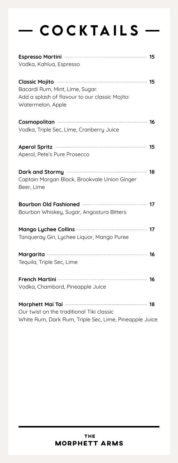## $-$  COCKTAILS  $-$

| Espresso Martini manuscritti 15<br>Vodka, Kahlua, Espresso                                                                                         |
|----------------------------------------------------------------------------------------------------------------------------------------------------|
| Classic Mojito <b>Martin March 19</b> 15<br>Bacardi Rum, Mint, Lime, Sugar.<br>Add a splash of flavour to our classic Mojito:<br>Watermelon, Apple |
| Cosmopolitan (16)<br>Vodka, Triple Sec, Lime, Cranberry Juice                                                                                      |
| Aperol Spritz (15) 2004 15<br>Aperol, Pete's Pure Prosecco                                                                                         |
| Dark and Stormy manufactured and 18<br>Captain Morgan Black, Brookvale Union Ginger<br>Beer, Lime                                                  |
| Bourbon Old Fashioned <b>Manual Excess Street Parameter</b> 17<br>Bourbon Whiskey, Sugar, Angostura Bitters                                        |
| Tanqueray Gin, Lychee Liquor, Mango Puree                                                                                                          |
| Margarita 16<br>Tequila, Triple Sec, Lime                                                                                                          |
| Vodka, Chambord, Pineapple Juice                                                                                                                   |
| Our twist on the traditional Tiki classic                                                                                                          |

Our twist on the traditional Tiki classic White Rum, Dark Rum, Triple Sec, Lime, Pineapple Juice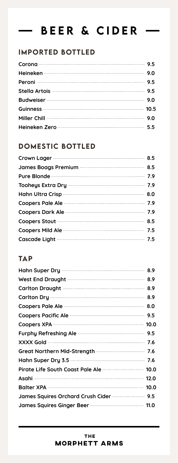#### BEER & CIDER $\overline{\phantom{a}}$

### IMPORTED BOTTLED

### DOMESTIC BOTTLED

### **TAP**

| 8.9 |
|-----|
| 8.9 |
|     |
|     |
|     |
|     |
|     |
|     |
|     |
|     |
|     |
|     |
|     |
|     |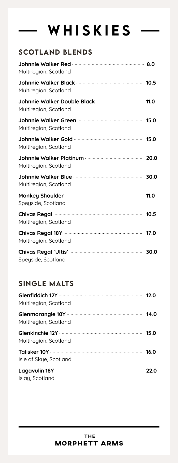# WHISKIES -

### SCOTLAND BLENDS

| Multiregion, Scotland                                                                 |  |
|---------------------------------------------------------------------------------------|--|
| Multiregion, Scotland                                                                 |  |
| Multiregion, Scotland                                                                 |  |
| Johnnie Walker Green <b>Manual Accord Manual Accord 15.0</b><br>Multiregion, Scotland |  |
| Multiregion, Scotland                                                                 |  |
| Multiregion, Scotland                                                                 |  |
| Multiregion, Scotland                                                                 |  |
| Speyside, Scotland                                                                    |  |
| Multiregion, Scotland                                                                 |  |
| Multiregion, Scotland                                                                 |  |
| Speyside, Scotland                                                                    |  |

### SINGLE MALTS

| Multiregion, Scotland                 |  |
|---------------------------------------|--|
| Multiregion, Scotland                 |  |
| Multiregion, Scotland                 |  |
| Isle of Skye, Scotland                |  |
| Lagavulin 16Y 22.0<br>Islay, Scotland |  |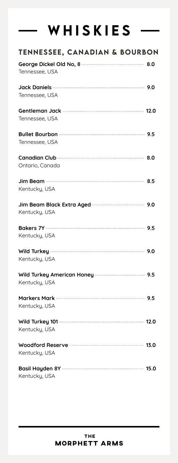# WHISKIES ·

| <b>TENNESSEE, CANADIAN &amp; BOURBON</b> |  |
|------------------------------------------|--|
| Tennessee, USA                           |  |
|                                          |  |
| Tennessee, USA                           |  |
| Tennessee, USA                           |  |
|                                          |  |
| Tennessee, USA                           |  |
| Canadian Club <b>Manual Club</b> 3.0     |  |
| Ontario, Canada                          |  |
|                                          |  |
| Kentucky, USA                            |  |
| Kentucky, USA                            |  |
|                                          |  |
|                                          |  |
| Kentucky, USA                            |  |
|                                          |  |
| Kentucky, USA                            |  |
|                                          |  |
| Kentucky, USA                            |  |
|                                          |  |
| Kentucky, USA                            |  |
|                                          |  |
| Kentucky, USA                            |  |
|                                          |  |
| Kentucky, USA                            |  |
|                                          |  |
| Kentucky, USA                            |  |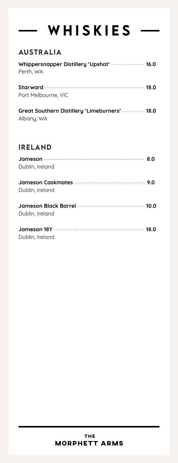# WHISKIES ·

### AUSTRALIA

| Whippersnapper Distillery 'Upshot'  16.0 |  |
|------------------------------------------|--|
| Perth, WA                                |  |
|                                          |  |
|                                          |  |

Port Melbourne, VIC

| Great Southern Distillery 'Limeburners'  18.0 |  |
|-----------------------------------------------|--|
| Albany, WA                                    |  |

### IRELAND

| Dublin, Ireland |  |
|-----------------|--|
| Dublin, Ireland |  |
| Dublin, Ireland |  |
| Dublin, Ireland |  |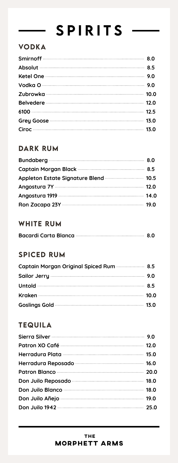# SPIRITS ·

### VODKA

| Grey Goose <b>Manual Construction of the Coose</b> 13.0 |  |
|---------------------------------------------------------|--|
|                                                         |  |

### DARK RUM

| Appleton Estate Signature Blend  10.5        |  |
|----------------------------------------------|--|
|                                              |  |
| Angostura 1919 <b>Martin March 2018</b> 14.0 |  |
|                                              |  |

### WHITE RUM

### SPICED RUM

| Captain Morgan Original Spiced Rum  8.5       |  |
|-----------------------------------------------|--|
|                                               |  |
|                                               |  |
|                                               |  |
| Goslings Gold <b>Manual Construction</b> 13.0 |  |

### TEQUILA

| Patron Blanco (20.0) |  |
|----------------------|--|
|                      |  |
|                      |  |
|                      |  |
|                      |  |
|                      |  |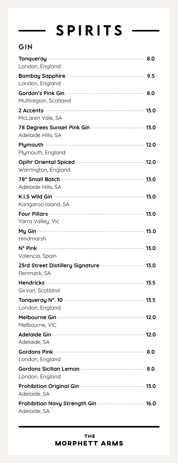# SPIRITS -

### GIN

| London, England                                                                                                                                                                                                                                      |  |
|------------------------------------------------------------------------------------------------------------------------------------------------------------------------------------------------------------------------------------------------------|--|
| London, England                                                                                                                                                                                                                                      |  |
| Multiregion, Scotland                                                                                                                                                                                                                                |  |
| 2 Accents <b>2006</b> 13.0<br>McLaren Vale, SA                                                                                                                                                                                                       |  |
| Adelaide Hills, SA                                                                                                                                                                                                                                   |  |
| Plymouth, England                                                                                                                                                                                                                                    |  |
| Opihr Oriental Spiced <b>Manual Accord Community</b> 12.0<br>Warrington, England                                                                                                                                                                     |  |
| 78° Small Batch (2008) 28° Small Batch (2008) 28° Small Batch (2008) 28° Small Batch (2008) 28° Small Batch (2008) 28° Small Batch (2008) 28° Small Batch (2008) 28° Small Batch (2008) 28° Small Batch (2008) 28° Small Batch<br>Adelaide Hills, SA |  |
| Kangaroo Island, SA                                                                                                                                                                                                                                  |  |
| Yarra Valley, Vic                                                                                                                                                                                                                                    |  |
| Hindmarsh                                                                                                                                                                                                                                            |  |
| N <sup>2</sup> Pink <b>2008</b> 13.0<br>Valencia, Spain                                                                                                                                                                                              |  |
| 23rd Street Distillery Signature <b>manufature 13.0</b><br>Renmark, SA                                                                                                                                                                               |  |
| Girvan, Scotland                                                                                                                                                                                                                                     |  |
| London, England                                                                                                                                                                                                                                      |  |
| Melbourne, VIC                                                                                                                                                                                                                                       |  |
| Adelaide, SA                                                                                                                                                                                                                                         |  |
| London, England                                                                                                                                                                                                                                      |  |
| London, England                                                                                                                                                                                                                                      |  |
| Adelaide, SA                                                                                                                                                                                                                                         |  |
| Adelaide, SA                                                                                                                                                                                                                                         |  |